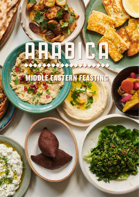## RANE JEA

## **MIDDLE EASTERN FEASTING**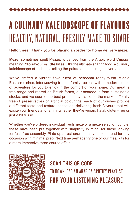#### ..........................

## A CULINARY KALEIDOSCOPE OF FLAVOURS HEALTHY, NATURAL, FRESHLY MADE TO SHARE

**Hello there! Thank you for placing an order for home delivery meze.** 

**Meze,** sometimes spelt Mezze, is derived from the Arabic word **t'maza**, meaning, **" to savour in little bites"**. It's the ultimate sharing food; a culinary kaleidoscope of dishes, exciting the palate and inspiring conversation.

We've crafted a vibrant flavour-fest of seasonal ready-to-eat Middle Eastern dishes, interweaving trusted family recipes with a modern sense of adventure for you to enjoy in the comfort of your home. Our meat is free-range and reared on British farms, our seafood is from sustainable stocks, and we source the best produce available on the market. Totally free of preservatives or artificial colourings, each of our dishes provide a different taste and textural sensation, delivering fresh flavours that will excite your friends and family, whether they're vegan, halal, gluten-free or just a bit fussy.

Whether you've ordered individual fresh meze or a meze selection bundle, these have been put together with simplicity in mind, for those looking for fuss free assembly. Plate up a restaurant quality meze spread for any occasion with minimal prep. Next time perhaps try one of our meal kits for a more immersive three course affair.



SCAN THIS OR CODE TO DOWNLOAD AN ARABICA SPOTIFY PLAYLIST FOR YOUR LISTENING PLEASURE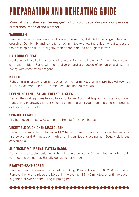## PREPARATION AND REHEATING GUIDE

Many of the dishes can be enjoyed hot or cold, depending on your personal preference, mood or the weather!

#### TABBOULEH

Remove the baby gem leaves and place on a serving dish. Add the bulgur wheat and dressing. Gently mix and leave for a few minutes to allow the bulgur wheat to absorb the dressing and fluff up slightly, then spoon onto the baby gem leaves.

#### HALLOUMI CHEESE

Heat some olive oil oil in a non-stick pan and fry the halloumi for 3-4 minutes on each side until golden. Serve with some olive oil and a squeeze of lemon or a drizzle of honey with some fresh oregano.

#### **KIRRFH**

Reheat in a microwave on full power for  $1\frac{1}{2}$  - 2 minutes or in a pre-heated oven at 170°C / Gas mark 3 for 10- 14 minutes, until heated through.

#### LEVANTINE LENTIL SALAD | FREEKEH DISHES

Decant the grains/pulses to a suitable container. Add 1 tablespoon of water and cover. Reheat in a microwave for 2-3 minutes on high or until your food is piping hot. Equally delicious served cold!

#### SPINACH FATAYEH

Pre-heat oven to 180°C /Gas mark 4. Reheat for 8-10 minutes.

#### VEGETABLE OR CHICKEN MAGLOUBEH

Decant to a suitable container. Add 2 tablespoons of water and cover. Reheat in a microwave for 4-5 minutes on high or until your food is piping hot. Equally delicious served cold!

#### AUBERGINE MOUSSAKA | BATATA HARRA

Decant to a suitable container. Reheat in a microwave for 3-4 minutes on high or until your food is piping hot. Equally delicious served cold!

#### READY-TO-BAKE-BOREGI

Remove from the freezer 1 hour before baking. Pre-heat oven to 180°C /Gas mark 4. Remove the lid and place the böregi in the oven for 35 - 40 minutes, or until the pastry is golden brown and the filling is piping hot.